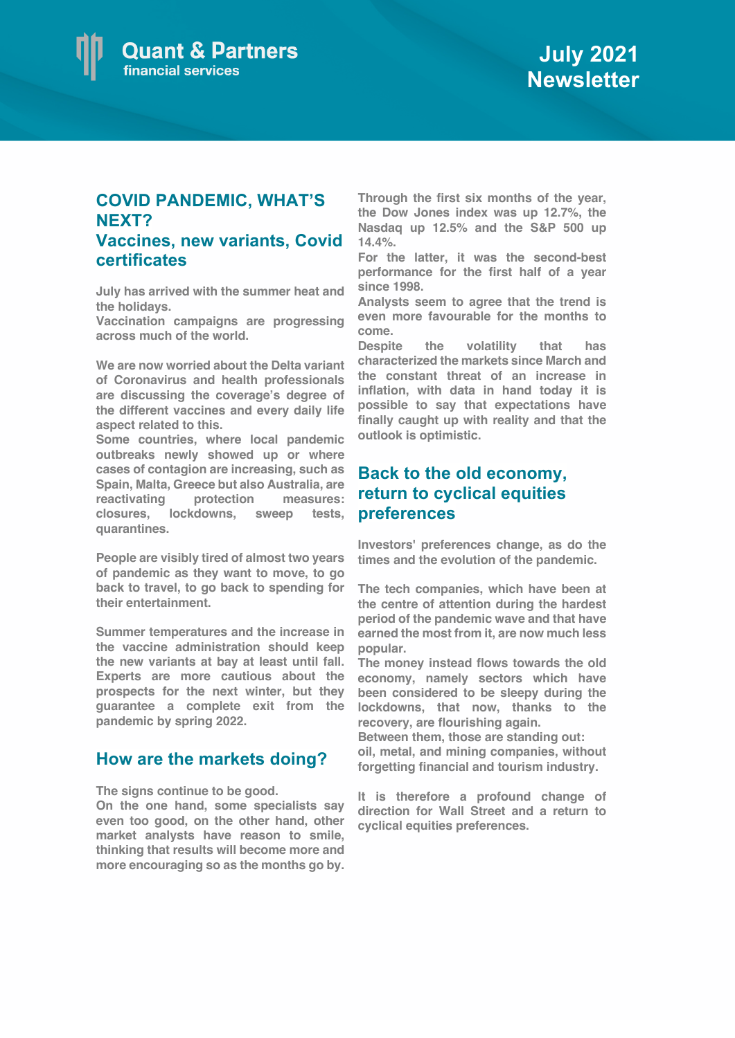

## **COVID PANDEMIC, WHAT'S NEXT? Vaccines, new variants, Covid**

**certificates**

**July has arrived with the summer heat and the holidays.** 

**Vaccination campaigns are progressing across much of the world.**

**We are now worried about the Delta variant of Coronavirus and health professionals are discussing the coverage's degree of the different vaccines and every daily life aspect related to this.**

**Some countries, where local pandemic outbreaks newly showed up or where cases of contagion are increasing, such as Spain, Malta, Greece but also Australia, are reactivating protection measures: closures, lockdowns, sweep tests, quarantines.** 

**People are visibly tired of almost two years of pandemic as they want to move, to go back to travel, to go back to spending for their entertainment.**

**Summer temperatures and the increase in the vaccine administration should keep the new variants at bay at least until fall. Experts are more cautious about the prospects for the next winter, but they guarantee a complete exit from the pandemic by spring 2022.**

## **How are the markets doing?**

**The signs continue to be good.** 

**On the one hand, some specialists say even too good, on the other hand, other market analysts have reason to smile, thinking that results will become more and more encouraging so as the months go by.**

**Through the first six months of the year, the Dow Jones index was up 12.7%, the Nasdaq up 12.5% and the S&P 500 up 14.4%.**

**For the latter, it was the second-best performance for the first half of a year since 1998.**

**Analysts seem to agree that the trend is even more favourable for the months to come.**

**Despite the volatility that has characterized the markets since March and the constant threat of an increase in inflation, with data in hand today it is possible to say that expectations have finally caught up with reality and that the outlook is optimistic.**

## **Back to the old economy, return to cyclical equities preferences**

**Investors' preferences change, as do the times and the evolution of the pandemic.**

**The tech companies, which have been at the centre of attention during the hardest period of the pandemic wave and that have earned the most from it, are now much less popular.**

**The money instead flows towards the old economy, namely sectors which have been considered to be sleepy during the lockdowns, that now, thanks to the recovery, are flourishing again.** 

**Between them, those are standing out: oil, metal, and mining companies, without forgetting financial and tourism industry.** 

**It is therefore a profound change of direction for Wall Street and a return to cyclical equities preferences.**